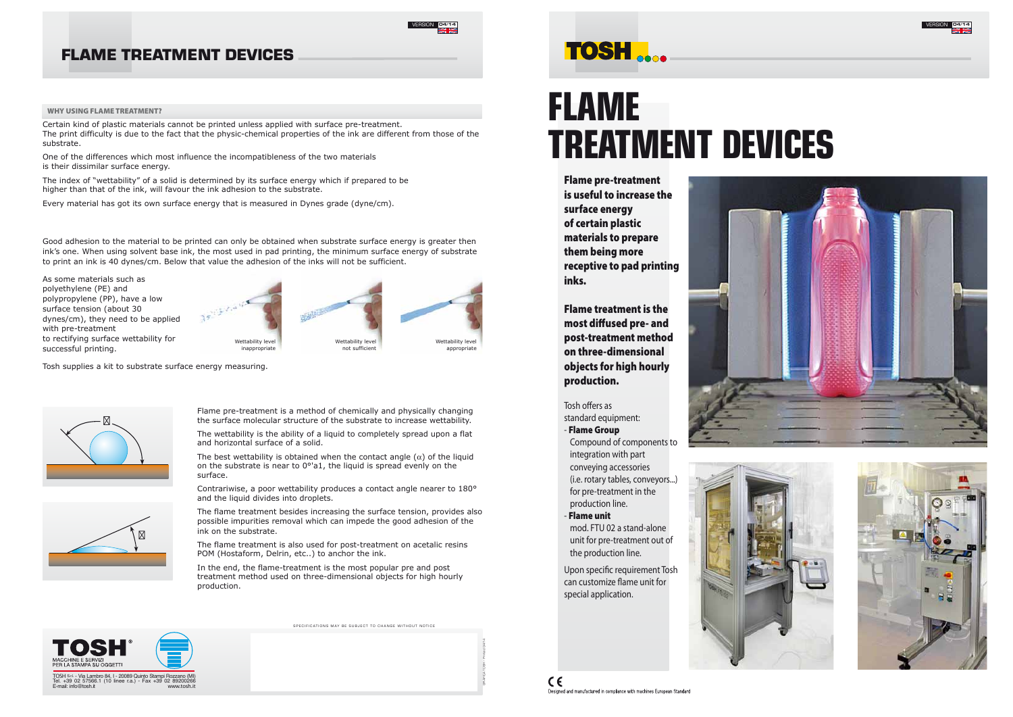





# **FLAME TREATMENT DEVICES**

Flame pre-treatment is useful to increase the surface energy of certain plastic materials to prepare them being more receptive to pad printing inks.

Tosh offers as standard equipment:

Flame treatment is the most diffused pre- and post-treatment method on three-dimensional objects for high hourly production.

Upon specific requirement Tosh can customize flame unit for special application.





### - Flame Group

Compound of components to integration with part conveying accessories (i.e. rotary tables, conveyors...) for pre-treatment in the production line.

- Flame unit mod. FTU 02 a stand-alone unit for pre-treatment out of the production line.

## **FLAME TREATMENT DEVICES**



### WHY USING FLAME TREATMENT?

Certain kind of plastic materials cannot be printed unless applied with surface pre-treatment. The print difficulty is due to the fact that the physic-chemical properties of the ink are different from those of the substrate.

> The best wettability is obtained when the contact angle  $(\alpha)$  of the liquid on the substrate is near to 0°'a1, the liquid is spread evenly on the surface.

One of the differences which most influence the incompatibleness of the two materials is their dissimilar surface energy.

The index of "wettability" of a solid is determined by its surface energy which if prepared to be higher than that of the ink, will favour the ink adhesion to the substrate.

Every material has got its own surface energy that is measured in Dynes grade (dyne/cm).

Flame pre-treatment is a method of chemically and physically changing the surface molecular structure of the substrate to increase wettability.

The wettability is the ability of a liquid to completely spread upon a flat and horizontal surface of a solid.

Contrariwise, a poor wettability produces a contact angle nearer to 180° and the liquid divides into droplets.

The flame treatment besides increasing the surface tension, provides also possible impurities removal which can impede the good adhesion of the ink on the substrate.

The flame treatment is also used for post-treatment on acetalic resins POM (Hostaform, Delrin, etc..) to anchor the ink.

In the end, the flame-treatment is the most popular pre and post treatment method used on three-dimensional objects for high hourly production.

SPECIFICATIONS MAY BE SUBJECT TO CHANGE WITHOUT NOTICE

# **TOSH**

As some materials such as polyethylene (PE) and polypropylene (PP), have a low surface tension (about 30 dynes/cm), they need to be applied with pre-treatment to rectifying surface wettability for successful printing.







appropriate

Good adhesion to the material to be printed can only be obtained when substrate surface energy is greater then ink's one. When using solvent base ink, the most used in pad printing, the minimum surface energy of substrate to print an ink is 40 dynes/cm. Below that value the adhesion of the inks will not be sufficient.

Tosh supplies a kit to substrate surface energy measuring.





*GRAFICA TOSH - Printed 04/14*